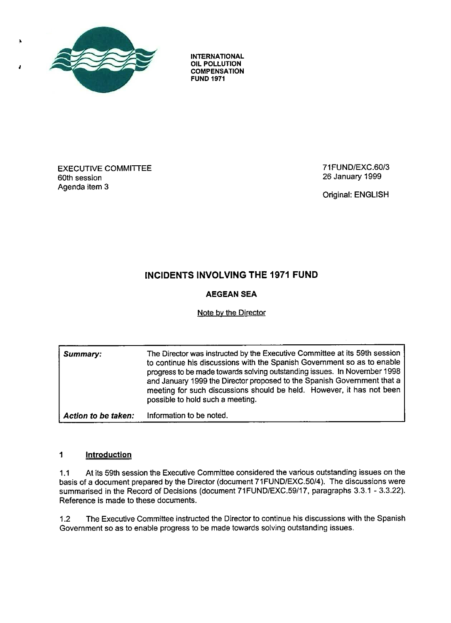

À

**INTERNATIONAL OIL POLLUTION COMPENSATION FUND 1971**

#### **EXECUTIVE COMMITTEE** 60th session Agenda item 3

71 FUND/EXC.60/3 26 January 1999

Original: ENGLISH

# **INCIDENTS INVOLVING THE 1971 FUND**

# **AEGEAN SEA**

### **Note by the Director**

**Summary: The Director was instructed by the Executive Committee at its 59th session** to continue his discussions with the Spanish Government so as to enable **progress to be made towards solving outstanding issues . In November 1998 and January 1999 the Director proposed to the Spanish Government that a** meeting for such discussions should be held. However, it has not been possible to hold such a meeting. *Action to be taken: Information to be noted.*

#### $\mathbf{1}$ *Introduction*

1.1 At its 59th session the Executive Committee considered the various outstanding issues on the basis of a document prepared by the Director (document 71 FUND/EXC.50/4). The discussions were summarised in the Record of Decisions (document 71 FUND/EXC.59/17, paragraphs 3.3.1 - 3.3.22). Reference is made to these documents.

1.2 The Executive Committee instructed the Director to continue his discussions with the Spanish Government so as to enable progress to be made towards solving outstanding issues .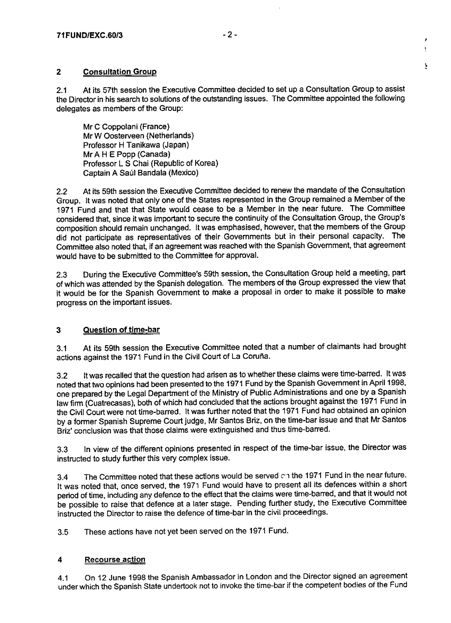## **2 Consultation Grou p**

2.1 At its 57th session the Executive Committee decided to set up a Consultation Group to assist the Director in his search to solutions of the outstanding issues. The Committee appointed the following delegates as members of the Group:

Mr C Coppolani (France) Mr W Oosterveen (Netherlands) Professor H Tanikawa (Japan) Mr A H E Popp (Canada) Professor L S Chai (Republic of Korea) Captain A Saúl Bandala (Mexico)

2.2 At its 59th session the Executive Committee decided to renew the mandate of the Consultation Group. It was noted that only one of the States represented in the Group remained a Member of the 1971 Fund and that that State would cease to be a Member in the near future. The Committee considered that, since it was important to secure the continuity of the Consultation Group, the Group's composition should remain unchanged. It was emphasised, however, that the members of the Group did not participate as representatives of their Governments but in their personal capacity. The Committee also noted that, if an agreement was reached with the Spanish Government, that agreement would have to be submitted to the Committee for approval .

2.3 During the Executive Committee's 59th session, the Consultation Group held a meeting, part of which was attended by the Spanish delegation. The members of the Group expressed the view that it would be for the Spanish Government to make a proposal in order to make it possible to make progress on the important issues.

# **3 Question of time-bar**

3.1 At its 59th session the Executive Committee noted that a number of claimants had brought actions against the 1971 Fund in the Civil Court of La Coruña.

3.2 It was recalled that the question had arisen as to whether these claims were time-barred . It was noted that two opinions had been presented to the 1971 Fund by the Spanish Government in April 1998 , one prepared by the Legal Department of the Ministry of Public Administrations and one by a Spanish law firm (Cuatrecasas), both of which had concluded that the actions brought against the 1971 Fund in the Civil Court were not time-barred. It was further noted that the 1971 Fund had obtained an opinion by a former Spanish Supreme Court judge, Mr Santos Briz, on the time-bar issue and that Mr Santos Briz' conclusion was that those claims were extinguished and thus time-barred.

3.3 In view of the different opinions presented in respect of the time-bar issue, the Director was instructed to study further this very complex issue .

3.4 The Committee noted that these actions would be served chate 1971 Fund in the near future. It was noted that, once served, the 1971 Fund would have to present all its defences within a short period of time, including any defence to the effect that the claims were time-barred, and that it would not be possible to raise that defence at a later stage. Pending further study, the Executive Committee instructed the Director to raise the defence of time-bar in the civil proceedings.

3.5 These actions have not yet been served on the 1971 Fund .

#### **4 Recourse action**

4.1 On 12 June 1998 the Spanish Ambassador in London and the Director signed an agreement under which the Spanish State undertook not to invoke the time-bar if the competent bodies of the Fund ŀ.